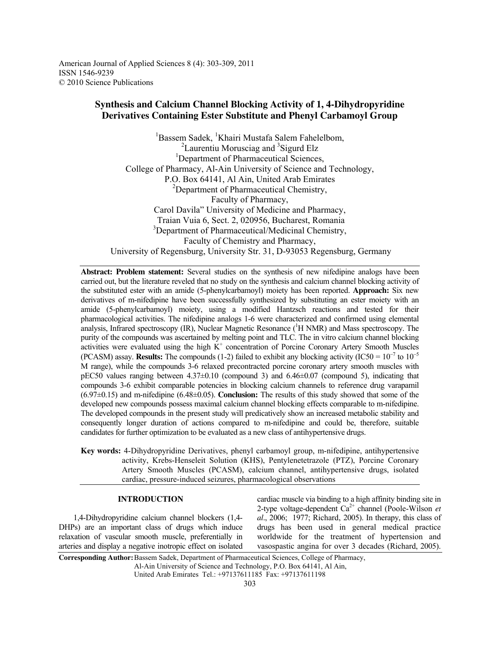American Journal of Applied Sciences 8 (4): 303-309, 2011 ISSN 1546-9239 © 2010 Science Publications

# **Synthesis and Calcium Channel Blocking Activity of 1, 4-Dihydropyridine Derivatives Containing Ester Substitute and Phenyl Carbamoyl Group**

<sup>1</sup>Bassem Sadek, <sup>1</sup>Khairi Mustafa Salem Fahelelbom, <sup>2</sup>Laurentiu Morusciag and <sup>3</sup>Sigurd Elz <sup>1</sup>Department of Pharmaceutical Sciences, College of Pharmacy, Al-Ain University of Science and Technology, P.O. Box 64141, Al Ain, United Arab Emirates <sup>2</sup>Department of Pharmaceutical Chemistry, Faculty of Pharmacy, Carol Davila" University of Medicine and Pharmacy, Traian Vuia 6, Sect. 2, 020956, Bucharest, Romania <sup>3</sup>Department of Pharmaceutical/Medicinal Chemistry, Faculty of Chemistry and Pharmacy, University of Regensburg, University Str. 31, D-93053 Regensburg, Germany

**Abstract: Problem statement:** Several studies on the synthesis of new nifedipine analogs have been carried out, but the literature reveled that no study on the synthesis and calcium channel blocking activity of the substituted ester with an amide (5-phenylcarbamoyl) moiety has been reported. **Approach:** Six new derivatives of m-nifedipine have been successfully synthesized by substituting an ester moiety with an amide (5-phenylcarbamoyl) moiety, using a modified Hantzsch reactions and tested for their pharmacological activities. The nifedipine analogs 1-6 were characterized and confirmed using elemental analysis, Infrared spectroscopy (IR), Nuclear Magnetic Resonance (<sup>1</sup>H NMR) and Mass spectroscopy. The purity of the compounds was ascertained by melting point and TLC. The in vitro calcium channel blocking activities were evaluated using the high  $K^+$  concentration of Porcine Coronary Artery Smooth Muscles (PCASM) assay. **Results:** The compounds (1-2) failed to exhibit any blocking activity (IC50 =  $10^{-7}$  to  $10^{-5}$ M range), while the compounds 3-6 relaxed precontracted porcine coronary artery smooth muscles with pEC50 values ranging between 4.37±0.10 (compound 3) and 6.46±0.07 (compound 5), indicating that compounds 3-6 exhibit comparable potencies in blocking calcium channels to reference drug varapamil (6.97±0.15) and m-nifedipine (6.48±0.05). **Conclusion:** The results of this study showed that some of the developed new compounds possess maximal calcium channel blocking effects comparable to m-nifedipine. The developed compounds in the present study will predicatively show an increased metabolic stability and consequently longer duration of actions compared to m-nifedipine and could be, therefore, suitable candidates for further optimization to be evaluated as a new class of antihypertensive drugs.

**Key words:** 4-Dihydropyridine Derivatives, phenyl carbamoyl group, m-nifedipine, antihypertensive activity, Krebs-Henseleit Solution (KHS), Pentylenetetrazole (PTZ), Porcine Coronary Artery Smooth Muscles (PCASM), calcium channel, antihypertensive drugs, isolated cardiac, pressure-induced seizures, pharmacological observations

## **INTRODUCTION**

 1,4-Dihydropyridine calcium channel blockers (1,4- DHPs) are an important class of drugs which induce relaxation of vascular smooth muscle, preferentially in arteries and display a negative inotropic effect on isolated cardiac muscle via binding to a high affinity binding site in 2-type voltage-dependent  $Ca^{2+}$  channel (Poole-Wilson *et*) *al*., 2006; 1977; Richard, 2005). In therapy, this class of drugs has been used in general medical practice worldwide for the treatment of hypertension and vasospastic angina for over 3 decades (Richard, 2005).

**Corresponding Author:** Bassem Sadek, Department of Pharmaceutical Sciences, College of Pharmacy,

Al-Ain University of Science and Technology, P.O. Box 64141, Al Ain,

United Arab Emirates Tel.: +97137611185 Fax: +97137611198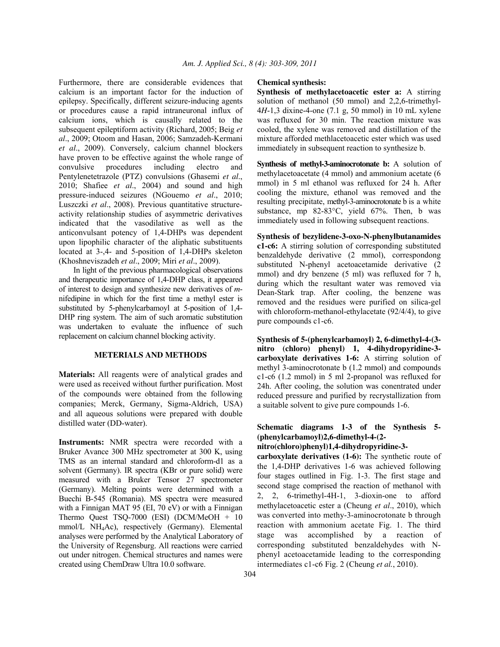Furthermore, there are considerable evidences that calcium is an important factor for the induction of epilepsy. Specifically, different seizure-inducing agents or procedures cause a rapid intraneuronal influx of calcium ions, which is causally related to the subsequent epileptiform activity (Richard, 2005; Beig *et al*., 2009; Otoom and Hasan, 2006; Samzadeh-Kermani *et al*., 2009). Conversely, calcium channel blockers have proven to be effective against the whole range of convulsive procedures including electro and Pentylenetetrazole (PTZ) convulsions (Ghasemi *et al*., 2010; Shafiee *et al*., 2004) and sound and high pressure-induced seizures (NGouemo *et al*., 2010; Luszczki *et al*., 2008). Previous quantitative structureactivity relationship studies of asymmetric derivatives indicated that the vasodilative as well as the anticonvulsant potency of 1,4-DHPs was dependent upon lipophilic character of the aliphatic substituents located at 3-,4- and 5-position of 1,4-DHPs skeleton (Khoshneviszadeh *et al*., 2009; Miri *et al*., 2009).

 In light of the previous pharmacological observations and therapeutic importance of 1,4-DHP class, it appeared of interest to design and synthesize new derivatives of *m*nifedipine in which for the first time a methyl ester is substituted by 5-phenylcarbamoyl at 5-position of 1,4- DHP ring system. The aim of such aromatic substitution was undertaken to evaluate the influence of such replacement on calcium channel blocking activity.

## **METERIALS AND METHODS**

**Materials:** All reagents were of analytical grades and were used as received without further purification. Most of the compounds were obtained from the following companies; Merck, Germany, Sigma-Aldrich, USA) and all aqueous solutions were prepared with double distilled water (DD-water).

**Instruments:** NMR spectra were recorded with a Bruker Avance 300 MHz spectrometer at 300 K, using TMS as an internal standard and chloroform-d1 as a solvent (Germany). IR spectra (KBr or pure solid) were measured with a Bruker Tensor 27 spectrometer (Germany). Melting points were determined with a Buechi B-545 (Romania). MS spectra were measured with a Finnigan MAT 95 (EI, 70 eV) or with a Finnigan Thermo Quest TSQ-7000 (ESI) (DCM/MeOH + 10 mmol/L NH4Ac), respectively (Germany). Elemental analyses were performed by the Analytical Laboratory of the University of Regensburg. All reactions were carried out under nitrogen. Chemical structures and names were created using ChemDraw Ultra 10.0 software.

#### **Chemical synthesis:**

**Synthesis of methylacetoacetic ester a:** A stirring solution of methanol (50 mmol) and 2,2,6-trimethyl-4*H*-1,3 dixine-4-one (7.1 g, 50 mmol) in 10 mL xylene was refluxed for 30 min. The reaction mixture was cooled, the xylene was removed and distillation of the mixture afforded methlacetoacetic ester which was used immediately in subsequent reaction to synthesize b.

**Synthesis of methyl-3-aminocrotonate b:** A solution of methylacetoacetate (4 mmol) and ammonium acetate (6 mmol) in 5 ml ethanol was refluxed for 24 h. After cooling the mixture, ethanol was removed and the resulting precipitate, methyl-3-aminocrotonate b is a white substance, mp 82-83°C, yield 67%. Then, b was immediately used in following subsequent reactions.

**Synthesis of bezylidene-3-oxo-N-phenylbutanamides c1-c6:** A stirring solution of corresponding substituted benzaldehyde derivative (2 mmol), correspondong substituted N-phenyl acetoacetamide derivative (2 mmol) and dry benzene (5 ml) was refluxed for 7 h, during which the resultant water was removed via Dean-Stark trap. After cooling, the benzene was removed and the residues were purified on silica-gel with chloroform-methanol-ethylacetate (92/4/4), to give pure compounds c1-c6.

**Synthesis of 5-(phenylcarbamoyl) 2, 6-dimethyl-4-(3 nitro (chloro) phenyl) 1, 4-dihydropyridine-3 carboxylate derivatives 1-6:** A stirring solution of methyl 3-aminocrotonate b (1.2 mmol) and compounds c1-c6 (1.2 mmol) in 5 ml 2-propanol was refluxed for 24h. After cooling, the solution was conentrated under reduced pressure and purified by recrystallization from a suitable solvent to give pure compounds 1-6.

## **Schematic diagrams 1-3 of the Synthesis 5- (phenylcarbamoyl)2,6-dimethyl-4-(2-**

## **nitro(chloro)phenyl)1,4-dihydropyridine-3-**

**carboxylate derivatives (1-6):** The synthetic route of the 1,4-DHP derivatives 1-6 was achieved following four stages outlined in Fig. 1-3. The first stage and second stage comprised the reaction of methanol with 2, 2, 6-trimethyl-4H-1, 3-dioxin-one to afford methylacetoacetic ester a (Cheung *et al*., 2010), which was converted into methy-3-aminocrotonate b through reaction with ammonium acetate Fig. 1. The third stage was accomplished by a reaction of corresponding substituted benzaldehydes with Nphenyl acetoacetamide leading to the corresponding intermediates c1-c6 Fig. 2 (Cheung *et al.*, 2010).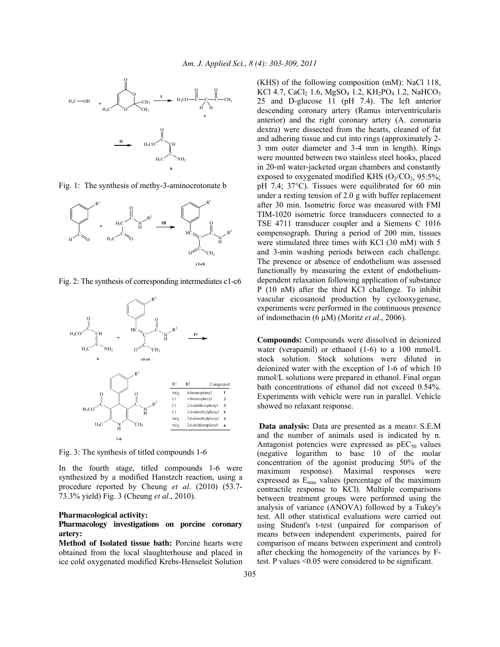

Fig. 1: The synthesis of methy-3-aminocrotonate b



Fig. 2: The synthesis of corresponding intermediates c1-c6



Fig. 3: The synthesis of titled compounds 1-6

In the fourth stage, titled compounds 1-6 were synthesized by a modified Hanstzch reaction, using a procedure reported by Cheung *et al*. (2010) (53.7- 73.3% yield) Fig. 3 (Cheung *et al*., 2010).

#### **Pharmacological activity:**

### **Pharmacology investigations on porcine coronary artery:**

**Method of Isolated tissue bath:** Porcine hearts were obtained from the local slaughterhouse and placed in ice cold oxygenated modified Krebs-Henseleit Solution (KHS) of the following composition (mM): NaCl 118, KCl 4.7, CaCl<sub>2</sub> 1.6, MgSO<sub>4</sub> 1.2, KH<sub>2</sub>PO<sub>4</sub> 1.2, NaHCO<sub>3</sub> 25 and D-glucose 11 (pH 7.4). The left anterior descending coronary artery (Ramus interventricularis anterior) and the right coronary artery (A. coronaria dextra) were dissected from the hearts, cleaned of fat and adhering tissue and cut into rings (approximately 2- 3 mm outer diameter and 3-4 mm in length). Rings were mounted between two stainless steel hooks, placed in 20-ml water-jacketed organ chambers and constantly exposed to oxygenated modified KHS  $(O_2/CO_2, 95:5\%;$ pH 7.4; 37°C). Tissues were equilibrated for 60 min under a resting tension of 2.0 g with buffer replacement after 30 min. Isometric force was measured with FMI TIM-1020 isometric force transducers connected to a TSE 4711 transducer coupler and a Siemens C 1016 compensograph. During a period of 200 min, tissues were stimulated three times with KCl (30 mM) with 5 and 3-min washing periods between each challenge. The presence or absence of endothelium was assessed functionally by measuring the extent of endotheliumdependent relaxation following application of substance P (10 nM) after the third KCl challenge. To inhibit vascular eicosanoid production by cyclooxygenase, experiments were performed in the continuous presence of indomethacin (6 µM) (Moritz *et al*., 2006).

**Compounds:** Compounds were dissolved in deionized water (verapamil) or ethanol (1-6) to a 100 mmol/L stock solution. Stock solutions were diluted in deionized water with the exception of 1-6 of which 10 mmol/L solutions were prepared in ethanol. Final organ bath concentrations of ethanol did not exceed 0.54%. Experiments with vehicle were run in parallel. Vehicle showed no relaxant response.

**Data analysis:** Data are presented as a mean± S.E.M and the number of animals used is indicated by n. Antagonist potencies were expressed as  $pEC_{50}$  values (negative logarithm to base 10 of the molar concentration of the agonist producing 50% of the maximum response). Maximal responses were expressed as  $E_{\text{max}}$  values (percentage of the maximum contractile response to KCl). Multiple comparisons between treatment groups were performed using the analysis of variance (ANOVA) followed by a Tukey's test. All other statistical evaluations were carried out using Student's t-test (unpaired for comparison of means between independent experiments, paired for comparison of means between experiment and control) after checking the homogeneity of the variances by Ftest. P values <0.05 were considered to be significant.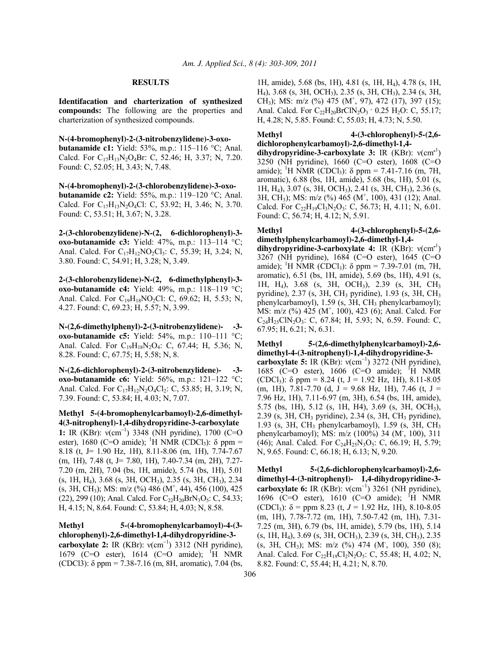#### **RESULTS**

**Identifacation and charterization of synthesized compounds:** The following are the properties and charterization of synthesized compounds.

**N-(4-bromophenyl)-2-(3-nitrobenzylidene)-3-oxobutanamide c1:** Yield: 53%, m.p.: 115–116 °C; Anal. Calcd. For C<sub>17</sub>H<sub>13</sub>N<sub>2</sub>O<sub>4</sub>Br: C, 52.46; H, 3.37; N, 7.20. Found: C, 52.05; H, 3.43; N, 7.48.

**N-(4-bromophenyl)-2-(3-chlorobenzylidene)-3-oxobutanamide c2:** Yield: 55%, m.p.: 119–120 °C; Anal. Calcd. For  $C_{17}H_{13}N_2O_4Cl$ : C, 53.92; H, 3.46; N, 3.70. Found: C, 53.51; H, 3.67; N, 3.28.

**2-(3-chlorobenzylidene)-N-(2, 6-dichlorophenyl)-3 oxo-butanamide c3:** Yield: 47%, m.p.: 113–114 °C; Anal. Calcd. For  $C_{17}H_{12}NO_2Cl_3$ : C, 55.39; H, 3.24; N, 3.80. Found: C, 54.91; H, 3.28; N, 3.49.

**2-(3-chlorobenzylidene)-N-(2, 6-dimethylphenyl)-3 oxo-butanamide c4:** Yield: 49%, m.p.: 118–119 °C; Anal. Calcd. For  $C_{19}H_{18}NO_2Cl$ : C, 69.62; H, 5.53; N, 4.27. Found: C, 69.23; H, 5.57; N, 3.99.

**N-(2,6-dimethylphenyl)-2-(3-nitrobenzylidene)- -3 oxo-butanamide c5:** Yield: 54%, m.p.: 110–111 °C; Anal. Calcd. For C<sub>19</sub>H<sub>18</sub>N<sub>2</sub>O<sub>4</sub>: C, 67.44; H, 5.36; N, 8.28. Found: C, 67.75; H, 5.58; N, 8.

**N-(2,6-dichlorophenyl)-2-(3-nitrobenzylidene)- -3 oxo-butanamide c6:** Yield: 56%, m.p.: 121–122 °C; Anal. Calcd. For  $C_{17}H_{12}N_2O_4Cl_2$ : C, 53.85; H, 3.19; N, 7.39. Found: C, 53.84; H, 4.03; N, 7.07.

**Methyl 5-(4-bromophenylcarbamoyl)-2,6-dimethyl-4(3-nitrophenyl)-1,4-dihydropyridine-3-carboxylate**  1: IR (KBr): ν(cm<sup>-1</sup>) 3348 (NH pyridine), 1700 (C=O ester), 1680 (C=O amide); <sup>1</sup>H NMR (CDCl<sub>3</sub>);  $\delta$  ppm = 8.18 (t, J= 1.90 Hz, 1H), 8.11-8.06 (m, 1H), 7.74-7.67 (m, 1H), 7.48 (t, J= 7.80, 1H), 7.40-7.34 (m, 2H), 7.27- 7.20 (m, 2H), 7.04 (bs, 1H, amide), 5.74 (bs, 1H), 5.01 (s, 1H, H4), 3.68 (s, 3H, OCH3), 2.35 (s, 3H, CH3), 2.34 (s, 3H, CH<sub>3</sub>); MS: m/z (%) 486 (M<sup>+</sup>, 44), 456 (100), 425 (22), 299 (10); Anal. Calcd. For  $C_{22}H_{20}BrN_3O_5$ : C, 54.33; H, 4.15; N, 8.64. Found: C, 53.84; H, 4.03; N, 8.58.

**Methyl 5-(4-bromophenylcarbamoyl)-4-(3 chlorophenyl)-2,6-dimethyl-1,4-dihydropyridine-3** carboxylate 2: IR  $(KBr)$ :  $v(cm^{-1})$  3312 (NH pyridine), 1679 (C=O ester), 1614 (C=O amide); <sup>1</sup>H NMR (CDCl3): δ ppm = 7.38-7.16 (m, 8H, aromatic), 7.04 (bs,

1H, amide), 5.68 (bs, 1H), 4.81 (s, 1H, H4), 4.78 (s, 1H, H4), 3.68 (s, 3H, OCH3), 2.35 (s, 3H, CH3), 2.34 (s, 3H, CH<sub>3</sub>); MS: m/z (%) 475 (M<sup>+</sup>, 97), 472 (17), 397 (15); Anal. Calcd. For  $C_{22}H_{20}BrClN_2O_3 \cdot 0.25 H_2O$ : C, 55.17; H, 4.28; N, 5.85. Found: C, 55.03; H, 4.73; N, 5.50.

**Methyl 4-(3-chlorophenyl)-5-(2,6 dichlorophenylcarbamoyl)-2,6-dimethyl-1,4-**

**dihydropyridine-3-carboxylate 3:** IR (KBr): ν(cm-<sup>1</sup> ) 3250 (NH pyridine), 1660 (C=O ester), 1608 (C=O amide); <sup>1</sup>H NMR (CDCl<sub>3</sub>):  $\delta$  ppm = 7.41-7.16 (m, 7H, aromatic), 6.88 (bs, 1H, amide), 5.68 (bs, 1H), 5.01 (s, 1H, H4), 3.07 (s, 3H, OCH3), 2.41 (s, 3H, CH3), 2.36 (s, 3H, CH3); MS: m/z (%) 465 (M<sup>+</sup> , 100), 431 (12); Anal. Calcd. For  $C_{22}H_{19}Cl_3N_2O_3$ : C, 56.73; H, 4.11; N, 6.01. Found: C, 56.74; H, 4.12; N, 5.91.

**Methyl 4-(3-chlorophenyl)-5-(2,6 dimethylphenylcarbamoyl)-2,6-dimethyl-1,4 dihydropyridine-3-carboxylate 4:** IR (KBr): ν(cm-<sup>1</sup> ) 3267 (NH pyridine), 1684 (C=O ester), 1645 (C=O amide); <sup>1</sup>H NMR (CDCl<sub>3</sub>):  $\delta$  ppm = 7.39-7.01 (m, 7H, aromatic), 6.51 (bs, 1H, amide), 5.69 (bs, 1H), 4.91 (s, 1H, H4), 3.68 (s, 3H, OCH3), 2.39 (s, 3H, CH<sup>3</sup> pyridine), 2.37 (s, 3H, CH3 pyridine), 1.93 (s, 3H, CH<sup>3</sup> phenylcarbamoyl),  $1.59$  (s,  $3H$ ,  $CH_3$  phenylcarbamoyl); MS: m/z (%) 425 (M<sup>+</sup> , 100), 423 (6); Anal. Calcd. For C24H25ClN2O3: C, 67.84; H, 5.93; N, 6.59. Found: C, 67.95; H, 6.21; N, 6.31.

**Methyl 5-(2,6-dimethylphenylcarbamoyl)-2,6 dimethyl-4-(3-nitrophenyl)-1,4-dihydropyridine-3-**

carboxylate 5: IR  $(KBr): v(cm^{-1})$  3272 (NH pyridine), 1685 (C=O ester), 1606 (C=O amide); <sup>1</sup>H NMR (CDCl<sub>3</sub>):  $\delta$  ppm = 8.24 (t, J = 1.92 Hz, 1H), 8.11-8.05  $(m, 1H)$ , 7.81-7.70 (d, J = 9.68 Hz, 1H), 7.46 (t, J = 7.96 Hz, 1H), 7.11-6.97 (m, 3H), 6.54 (bs, 1H, amide), 5.75 (bs, 1H), 5.12 (s, 1H, H4), 3.69 (s, 3H, OCH3), 2.39 (s, 3H, CH<sub>3</sub> pyridine), 2.34 (s, 3H, CH<sub>3</sub> pyridine), 1.93 (s, 3H, CH3 phenylcarbamoyl), 1.59 (s, 3H, CH<sup>3</sup> phenylcarbamoyl); MS: m/z (100%) 34 (M- , 100), 311 (46); Anal. Calcd. For  $C_{24}H_{25}N_3O_5$ : C, 66.19; H, 5.79; N, 9.65. Found: C, 66.18; H, 6.13; N, 9.20.

**Methyl 5-(2,6-dichlorophenylcarbamoyl)-2,6 dimethyl-4-(3-nitrophenyl)- 1,4-dihydropyridine-3** carboxylate 6: IR  $(KBr)$ :  $v(cm^{-1})$  3261 (NH pyridine), 1696 (C=O ester), 1610 (C=O amide); <sup>1</sup>H NMR (CDCl<sub>3</sub>):  $\delta$  = ppm 8.23 (t, *J* = 1.92 Hz, 1H), 8.10-8.05 (m, 1H), 7.78-7.72 (m, 1H), 7.50-7.42 (m, 1H), 7.31- 7.25 (m, 3H), 6.79 (bs, 1H, amide), 5.79 (bs, 1H), 5.14  $(s, 1H, H_4)$ , 3.69  $(s, 3H, OCH_3)$ , 2.39  $(s, 3H, CH_3)$ , 2.35 (s, 3H, CH<sub>3</sub>); MS: m/z (%) 474 (M, 100), 350 (8); Anal. Calcd. For  $C_{22}H_{19}Cl_2N_2O_5$ : C, 55.48; H, 4.02; N, 8.82. Found: C, 55.44; H, 4.21; N, 8.70.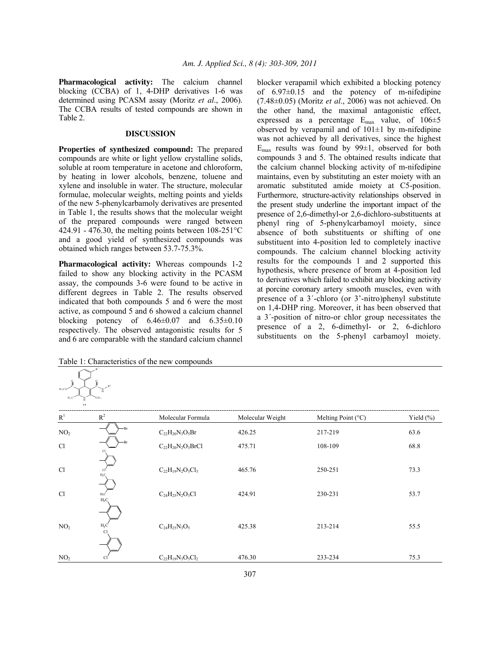**Pharmacological activity:** The calcium channel blocking (CCBA) of 1, 4-DHP derivatives 1-6 was determined using PCASM assay (Moritz *et al*., 2006). The CCBA results of tested compounds are shown in Table 2.

## **DISCUSSION**

**Properties of synthesized compound:** The prepared compounds are white or light yellow crystalline solids, soluble at room temperature in acetone and chloroform, by heating in lower alcohols, benzene, toluene and xylene and insoluble in water. The structure, molecular formulae, molecular weights, melting points and yields of the new 5-phenylcarbamoly derivatives are presented in Table 1, the results shows that the molecular weight of the prepared compounds were ranged between 424.91 - 476.30, the melting points between  $108-251^{\circ}$ C and a good yield of synthesized compounds was obtained which ranges between 53.7-75.3%.

**Pharmacological activity:** Whereas compounds 1-2 failed to show any blocking activity in the PCASM assay, the compounds 3-6 were found to be active in different degrees in Table 2. The results observed indicated that both compounds 5 and 6 were the most active, as compound 5 and 6 showed a calcium channel blocking potency of  $6.46\pm0.07$  and  $6.35\pm0.10$ respectively. The observed antagonistic results for 5 and 6 are comparable with the standard calcium channel blocker verapamil which exhibited a blocking potency of 6.97±0.15 and the potency of m-nifedipine (7.48±0.05) (Moritz *et al*., 2006) was not achieved. On the other hand, the maximal antagonistic effect, expressed as a percentage  $E_{\text{max}}$  value, of  $106 \pm 5$ observed by verapamil and of  $101\pm1$  by m-nifedipine was not achieved by all derivatives, since the highest  $E_{\text{max}}$  results was found by 99 $\pm$ 1, observed for both compounds 3 and 5. The obtained results indicate that the calcium channel blocking activity of m-nifedipine maintains, even by substituting an ester moiety with an aromatic substituted amide moiety at C5-position. Furthermore, structure-activity relationships observed in the present study underline the important impact of the presence of 2,6-dimethyl-or 2,6-dichloro-substituents at phenyl ring of 5-phenylcarbamoyl moiety, since absence of both substituents or shifting of one substituent into 4-position led to completely inactive compounds. The calcium channel blocking activity results for the compounds 1 and 2 supported this hypothesis, where presence of brom at 4-position led to derivatives which failed to exhibit any blocking activity at porcine coronary artery smooth muscles, even with presence of a 3΄-chloro (or 3'-nitro)phenyl substitute on 1,4-DHP ring. Moreover, it has been observed that a 3΄-position of nitro-or chlor group necessitates the presence of a 2, 6-dimethyl- or 2, 6-dichloro substituents on the 5-phenyl carbamoyl moiety.

Table 1: Characteristics of the new compounds

 $c$  and  $\sim$ 

O O  $_{\rm H_2CO}$   $\sim$   $\sim$   $\sim$   $\sim$ 

R 1

> H R 2

| R <sup>1</sup>  | $R^2$            | Molecular Formula        | Molecular Weight | Melting Point (°C) | Yield $(\%)$ |
|-----------------|------------------|--------------------------|------------------|--------------------|--------------|
| NO <sub>2</sub> | -Br              | $C_{22}H_{20}N_3O_5Br$   | 426.25           | 217-219            | 63.6         |
| <sup>C</sup> l  | -Br              | $C_{22}H_{20}N_2O_3BrCl$ | 475.71           | 108-109            | 68.8         |
| C <sub>1</sub>  | $H_3C_1$         | $C_{22}H_{19}N_2O_3Cl_3$ | 465.76           | 250-251            | 73.3         |
| C <sub>1</sub>  | $H_3C$<br>$H_3C$ | $C_{24}H_{25}N_2O_3Cl$   | 424.91           | 230-231            | 53.7         |
| NO <sub>2</sub> | $H_3C$           | $C_{24}H_{25}N_3O_5$     | 425.38           | 213-214            | 55.5         |
| NO <sub>2</sub> |                  | $C_{22}H_{19}N_3O_5Cl_2$ | 476.30           | 233-234            | 75.3         |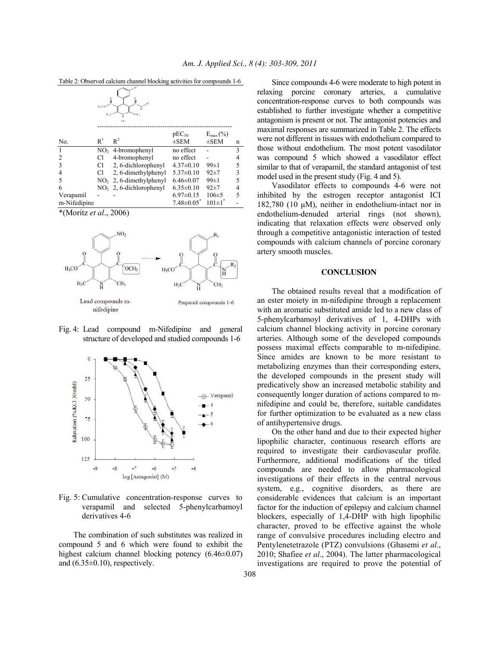|              | $R^{-1}$<br>$R^2$<br>H, CO<br>cн,<br>$H \cdot 0$<br>ĥ<br>$1 - 6$ |                                    |                         |                       |   |  |  |  |
|--------------|------------------------------------------------------------------|------------------------------------|-------------------------|-----------------------|---|--|--|--|
|              | R <sup>1</sup>                                                   | $R^2$                              | $pEC_{50}$<br>$\pm$ SEM | $E_{\text{max}}(\% )$ |   |  |  |  |
| No.          |                                                                  |                                    |                         | $\pm$ SEM             | n |  |  |  |
|              |                                                                  | $NO2$ 4-bromophenyl                | no effect               |                       | 3 |  |  |  |
| 2            | Сl                                                               | 4-bromophenyl                      | no effect               |                       |   |  |  |  |
| 3            | Сl                                                               | 2, 6-dichlorophenyl                | $4.37 \pm 0.10$         | $99 \pm 1$            | 5 |  |  |  |
|              | Cl                                                               | 2, 6-dimethylphenyl                | $5.37\pm0.10$           | $92+7$                | 3 |  |  |  |
| 5            | NO <sub>2</sub>                                                  | 2, 6-dimethylphenyl                | $6.46 \pm 0.07$         | $99 \pm 1$            | 5 |  |  |  |
| 6            |                                                                  | NO <sub>2</sub> , 6-dichlorophenyl | $6.35 \pm 0.10$         | $92+7$                | 4 |  |  |  |
| Verapamil    |                                                                  |                                    | $6.97 \pm 0.15$         | $106 \pm 5$           | 5 |  |  |  |
| m-Nifedipine |                                                                  |                                    | $7.48 \pm 0.05$         | $101 \pm 1$           |   |  |  |  |

Table 2: Observed calcium channel blocking activities for compounds 1-6

\*(Moritz *et al*., 2006)



Fig. 4: Lead compound m-Nifedipine and general structure of developed and studied compounds 1-6



Fig. 5: Cumulative concentration-response curves to verapamil and selected 5-phenylcarbamoyl derivatives 4-6

 The combination of such substitutes was realized in compound 5 and 6 which were found to exhibit the highest calcium channel blocking potency (6.46±0.07) and  $(6.35\pm0.10)$ , respectively.

 Since compounds 4-6 were moderate to high potent in relaxing porcine coronary arteries, a cumulative concentration-response curves to both compounds was established to further investigate whether a competitive antagonism is present or not. The antagonist potencies and maximal responses are summarized in Table 2. The effects were not different in tissues with endothelium compared to those without endothelium. The most potent vasodilator was compound 5 which showed a vasodilator effect similar to that of verapamil, the standard antagonist of test model used in the present study (Fig. 4 and 5).

 Vasodilator effects to compounds 4-6 were not inhibited by the estrogen receptor antagonist ICI 182,780 (10 μM), neither in endothelium-intact nor in endothelium-denuded arterial rings (not shown), indicating that relaxation effects were observed only through a competitive antagonistic interaction of tested compounds with calcium channels of porcine coronary artery smooth muscles.

#### **CONCLUSION**

 The obtained results reveal that a modification of an ester moiety in m-nifedipine through a replacement with an aromatic substituted amide led to a new class of 5-phenylcarbamoyl derivatives of 1, 4-DHPs with calcium channel blocking activity in porcine coronary arteries. Although some of the developed compounds possess maximal effects comparable to m-nifedipine. Since amides are known to be more resistant to metabolizing enzymes than their corresponding esters, the developed compounds in the present study will predicatively show an increased metabolic stability and consequently longer duration of actions compared to mnifedipine and could be, therefore, suitable candidates for further optimization to be evaluated as a new class of antihypertensive drugs.

 On the other hand and due to their expected higher lipophilic character, continuous research efforts are required to investigate their cardiovascular profile. Furthermore, additional modifications of the titled compounds are needed to allow pharmacological investigations of their effects in the central nervous system, e.g., cognitive disorders, as there are considerable evidences that calcium is an important factor for the induction of epilepsy and calcium channel blockers, especially of 1,4-DHP with high lipophilic character, proved to be effective against the whole range of convulsive procedures including electro and Pentylenetetrazole (PTZ) convulsions (Ghasemi *et al*., 2010; Shafiee *et al*., 2004). The latter pharmacological investigations are required to prove the potential of